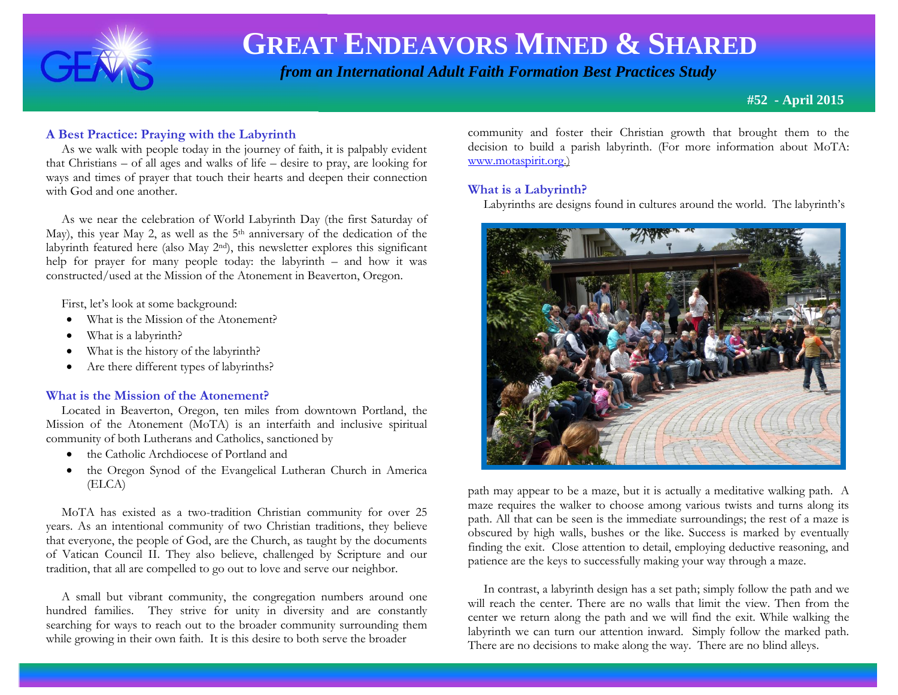

 *from an International Adult Faith Formation Best Practices Study*

**#52 - April 2015**

# **A Best Practice: Praying with the Labyrinth**

 As we walk with people today in the journey of faith, it is palpably evident that Christians – of all ages and walks of life – desire to pray, are looking for ways and times of prayer that touch their hearts and deepen their connection with God and one another.

 As we near the celebration of World Labyrinth Day (the first Saturday of May), this year May 2, as well as the 5<sup>th</sup> anniversary of the dedication of the labyrinth featured here (also May 2nd), this newsletter explores this significant help for prayer for many people today: the labyrinth – and how it was constructed/used at the Mission of the Atonement in Beaverton, Oregon.

First, let's look at some background:

- What is the Mission of the Atonement?
- What is a labyrinth?
- What is the history of the labyrinth?
- Are there different types of labyrinths?

## **What is the Mission of the Atonement?**

 Located in Beaverton, Oregon, ten miles from downtown Portland, the Mission of the Atonement (MoTA) is an interfaith and inclusive spiritual community of both Lutherans and Catholics, sanctioned by

- the Catholic Archdiocese of Portland and
- the Oregon Synod of the Evangelical Lutheran Church in America (ELCA)

 MoTA has existed as a two-tradition Christian community for over 25 years. As an intentional community of two Christian traditions, they believe that everyone, the people of God, are the Church, as taught by the documents of Vatican Council II. They also believe, challenged by Scripture and our tradition, that all are compelled to go out to love and serve our neighbor.

 A small but vibrant community, the congregation numbers around one hundred families. They strive for unity in diversity and are constantly searching for ways to reach out to the broader community surrounding them while growing in their own faith. It is this desire to both serve the broader

community and foster their Christian growth that brought them to the decision to build a parish labyrinth. (For more information about MoTA: [www.motaspirit.org.](http://www.motaspirit.org/))

## **What is a Labyrinth?**

Labyrinths are designs found in cultures around the world. The labyrinth's



path may appear to be a maze, but it is actually a meditative walking path. A maze requires the walker to choose among various twists and turns along its path. All that can be seen is the immediate surroundings; the rest of a maze is obscured by high walls, bushes or the like. Success is marked by eventually finding the exit. Close attention to detail, employing deductive reasoning, and patience are the keys to successfully making your way through a maze.

 In contrast, a labyrinth design has a set path; simply follow the path and we will reach the center. There are no walls that limit the view. Then from the center we return along the path and we will find the exit. While walking the labyrinth we can turn our attention inward. Simply follow the marked path. There are no decisions to make along the way. There are no blind alleys.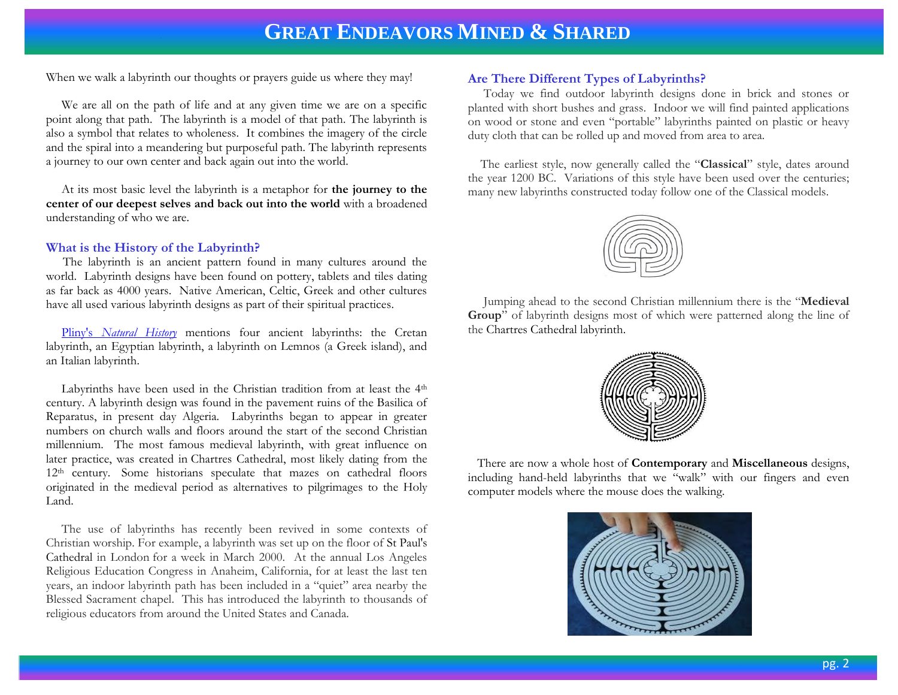When we walk a labyrinth our thoughts or prayers guide us where they may!

 We are all on the path of life and at any given time we are on a specific point along that path. The labyrinth is a model of that path. The labyrinth is also a symbol that relates to wholeness. It combines the imagery of the circle and the spiral into a meandering but purposeful path. The labyrinth represents a journey to our own center and back again out into the world.

 At its most basic level the labyrinth is a metaphor for **the journey to the center of our deepest selves and back out into the world** with a broadened understanding of who we are.

## **What is the History of the Labyrinth?**

The labyrinth is an ancient pattern found in many cultures around the world. Labyrinth designs have been found on pottery, tablets and tiles dating as far back as 4000 years. Native American, Celtic, Greek and other cultures have all used various labyrinth designs as part of their spiritual practices.

 Pliny's *[Natural History](http://en.wikipedia.org/wiki/Pliny%27s_Natural_History)* mentions four ancient labyrinths: the Cretan labyrinth, an Egyptian labyrinth, a labyrinth on Lemnos (a Greek island), and an Italian labyrinth.

Labyrinths have been used in the Christian tradition from at least the 4<sup>th</sup> century. A labyrinth design was found in the pavement ruins of the Basilica of Reparatus, in present day Algeria. Labyrinths began to appear in greater numbers on church walls and floors around the start of the second Christian millennium. The most famous medieval labyrinth, with great influence on later practice, was created in [Chartres Cathedral,](http://en.wikipedia.org/wiki/Chartres_Cathedral) most likely dating from the 12<sup>th</sup> century. Some historians speculate that mazes on cathedral floors originated in the medieval period as alternatives to pilgrimages to the Holy Land.

 The use of labyrinths has recently been revived in some contexts of Christian worship. For example, a labyrinth was set up on the floor of [St Paul's](http://en.wikipedia.org/wiki/St_Paul%27s_Cathedral)  [Cathedral](http://en.wikipedia.org/wiki/St_Paul%27s_Cathedral) in London for a week in March 2000. At the annual Los Angeles Religious Education Congress in Anaheim, California, for at least the last ten years, an indoor labyrinth path has been included in a "quiet" area nearby the Blessed Sacrament chapel. This has introduced the labyrinth to thousands of religious educators from around the United States and Canada.

# **Are There Different Types of Labyrinths?**

 Today we find outdoor labyrinth designs done in brick and stones or planted with short bushes and grass. Indoor we will find painted applications on wood or stone and even "portable" labyrinths painted on plastic or heavy duty cloth that can be rolled up and moved from area to area.

 The earliest style, now generally called the "**Classical**" style, dates around the year 1200 BC. Variations of this style have been used over the centuries; many new labyrinths constructed today follow one of the Classical models.



 Jumping ahead to the second Christian millennium there is the "**Medieval Group**" of labyrinth designs most of which were patterned along the line of the [Chartres Cathedral](http://en.wikipedia.org/wiki/Chartres_Cathedral) labyrinth.



 There are now a whole host of **Contemporary** and **Miscellaneous** designs, including hand-held labyrinths that we "walk" with our fingers and even computer models where the mouse does the walking.

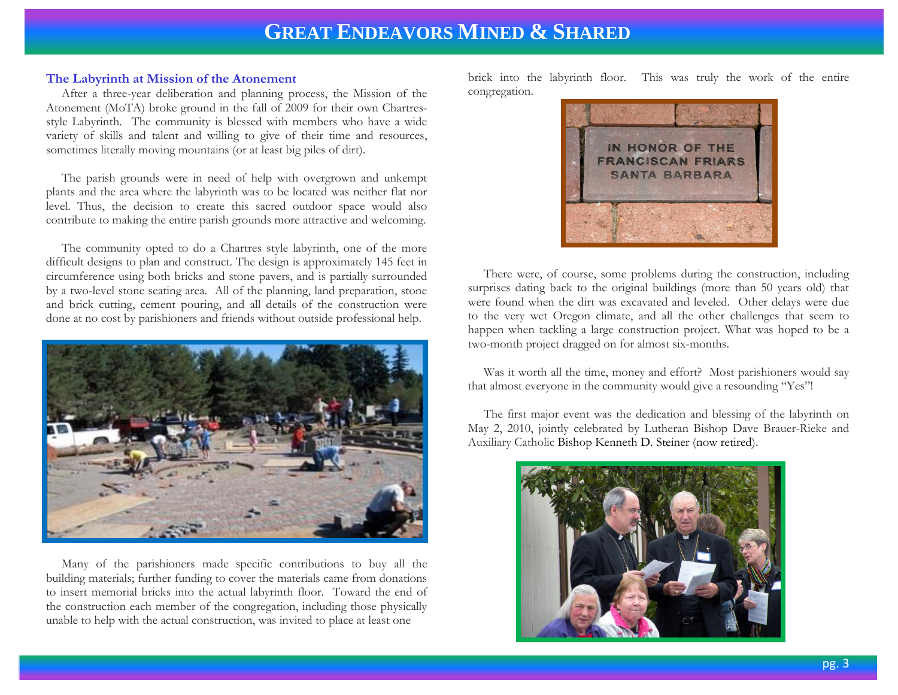#### **The Labyrinth at Mission of the Atonement**

 After a three-year deliberation and planning process, the Mission of the Atonement (MoTA) broke ground in the fall of 2009 for their own Chartresstyle Labyrinth. The community is blessed with members who have a wide variety of skills and talent and willing to give of their time and resources, sometimes literally moving mountains (or at least big piles of dirt).

 The parish grounds were in need of help with overgrown and unkempt plants and the area where the labyrinth was to be located was neither flat nor level. Thus, the decision to create this sacred outdoor space would also contribute to making the entire parish grounds more attractive and welcoming.

 The community opted to do a Chartres style labyrinth, one of the more difficult designs to plan and construct. The design is approximately 145 feet in circumference using both bricks and stone pavers, and is partially surrounded by a two-level stone seating area. All of the planning, land preparation, stone and brick cutting, cement pouring, and all details of the construction were done at no cost by parishioners and friends without outside professional help.



 Many of the parishioners made specific contributions to buy all the building materials; further funding to cover the materials came from donations to insert memorial bricks into the actual labyrinth floor. Toward the end of the construction each member of the congregation, including those physically unable to help with the actual construction, was invited to place at least one

brick into the labyrinth floor. This was truly the work of the entire congregation.



 There were, of course, some problems during the construction, including surprises dating back to the original buildings (more than 50 years old) that were found when the dirt was excavated and leveled. Other delays were due to the very wet Oregon climate, and all the other challenges that seem to happen when tackling a large construction project. What was hoped to be a two-month project dragged on for almost six-months.

 Was it worth all the time, money and effort? Most parishioners would say that almost everyone in the community would give a resounding "Yes"!

 The first major event was the dedication and blessing of the labyrinth on May 2, 2010, jointly celebrated by Lutheran Bishop Dave Brauer-Rieke and Auxiliary Catholic Bishop Kenneth D. Steiner (now retired).

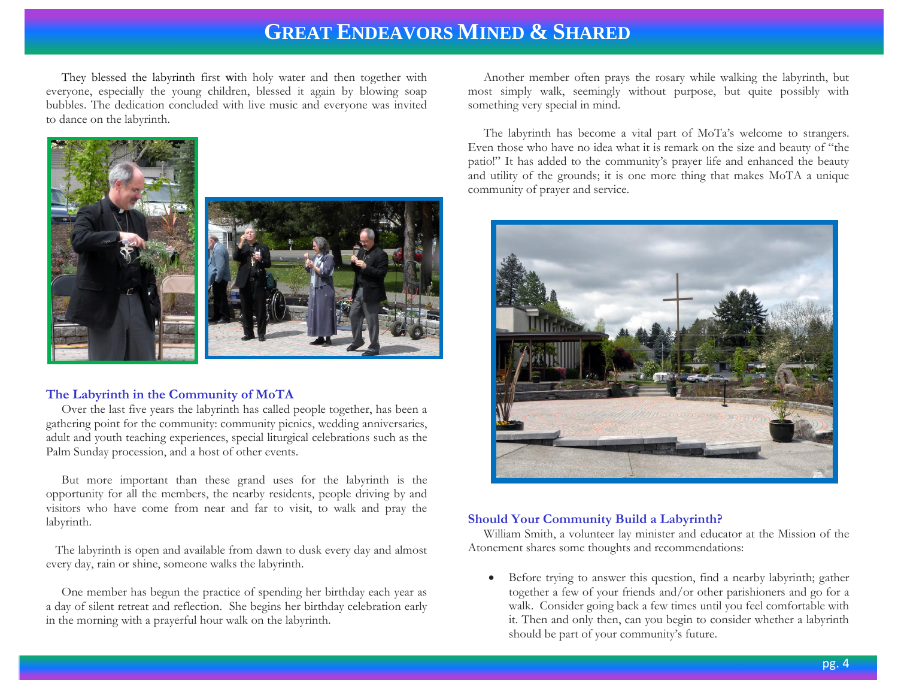They blessed the labyrinth first **w**ith holy water and then together with everyone, especially the young children, blessed it again by blowing soap bubbles. The dedication concluded with live music and everyone was invited to dance on the labyrinth.





#### **The Labyrinth in the Community of MoTA**

 Over the last five years the labyrinth has called people together, has been a gathering point for the community: community picnics, wedding anniversaries, adult and youth teaching experiences, special liturgical celebrations such as the Palm Sunday procession, and a host of other events.

 But more important than these grand uses for the labyrinth is the opportunity for all the members, the nearby residents, people driving by and visitors who have come from near and far to visit, to walk and pray the labyrinth.

 The labyrinth is open and available from dawn to dusk every day and almost every day, rain or shine, someone walks the labyrinth.

 One member has begun the practice of spending her birthday each year as a day of silent retreat and reflection. She begins her birthday celebration early in the morning with a prayerful hour walk on the labyrinth.

 Another member often prays the rosary while walking the labyrinth, but most simply walk, seemingly without purpose, but quite possibly with something very special in mind.

 The labyrinth has become a vital part of MoTa's welcome to strangers. Even those who have no idea what it is remark on the size and beauty of "the patio!" It has added to the community's prayer life and enhanced the beauty and utility of the grounds; it is one more thing that makes MoTA a unique community of prayer and service.



## **Should Your Community Build a Labyrinth?**

 William Smith, a volunteer lay minister and educator at the Mission of the Atonement shares some thoughts and recommendations:

 Before trying to answer this question, find a nearby labyrinth; gather together a few of your friends and/or other parishioners and go for a walk. Consider going back a few times until you feel comfortable with it. Then and only then, can you begin to consider whether a labyrinth should be part of your community's future.